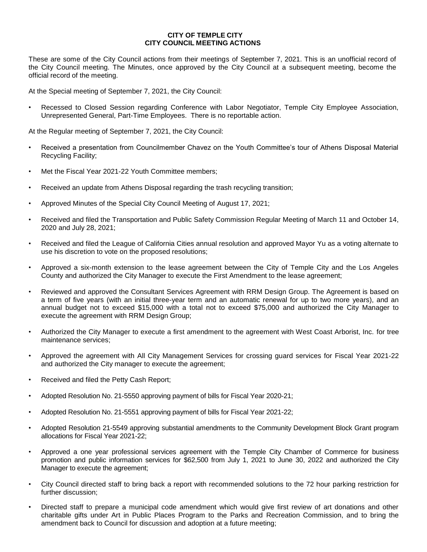## **CITY OF TEMPLE CITY CITY COUNCIL MEETING ACTIONS**

These are some of the City Council actions from their meetings of September 7, 2021. This is an unofficial record of the City Council meeting. The Minutes, once approved by the City Council at a subsequent meeting, become the official record of the meeting.

At the Special meeting of September 7, 2021, the City Council:

Recessed to Closed Session regarding Conference with Labor Negotiator, Temple City Employee Association, Unrepresented General, Part-Time Employees. There is no reportable action.

At the Regular meeting of September 7, 2021, the City Council:

- Received a presentation from Councilmember Chavez on the Youth Committee's tour of Athens Disposal Material Recycling Facility;
- Met the Fiscal Year 2021-22 Youth Committee members;
- Received an update from Athens Disposal regarding the trash recycling transition;
- Approved Minutes of the Special City Council Meeting of August 17, 2021;
- Received and filed the Transportation and Public Safety Commission Regular Meeting of March 11 and October 14, 2020 and July 28, 2021;
- Received and filed the League of California Cities annual resolution and approved Mayor Yu as a voting alternate to use his discretion to vote on the proposed resolutions;
- Approved a six-month extension to the lease agreement between the City of Temple City and the Los Angeles County and authorized the City Manager to execute the First Amendment to the lease agreement;
- Reviewed and approved the Consultant Services Agreement with RRM Design Group. The Agreement is based on a term of five years (with an initial three-year term and an automatic renewal for up to two more years), and an annual budget not to exceed \$15,000 with a total not to exceed \$75,000 and authorized the City Manager to execute the agreement with RRM Design Group;
- Authorized the City Manager to execute a first amendment to the agreement with West Coast Arborist, Inc. for tree maintenance services;
- Approved the agreement with All City Management Services for crossing guard services for Fiscal Year 2021-22 and authorized the City manager to execute the agreement;
- Received and filed the Petty Cash Report;
- Adopted Resolution No. 21-5550 approving payment of bills for Fiscal Year 2020-21;
- Adopted Resolution No. 21-5551 approving payment of bills for Fiscal Year 2021-22;
- Adopted Resolution 21-5549 approving substantial amendments to the Community Development Block Grant program allocations for Fiscal Year 2021-22;
- Approved a one year professional services agreement with the Temple City Chamber of Commerce for business promotion and public information services for \$62,500 from July 1, 2021 to June 30, 2022 and authorized the City Manager to execute the agreement;
- City Council directed staff to bring back a report with recommended solutions to the 72 hour parking restriction for further discussion;
- Directed staff to prepare a municipal code amendment which would give first review of art donations and other charitable gifts under Art in Public Places Program to the Parks and Recreation Commission, and to bring the amendment back to Council for discussion and adoption at a future meeting;